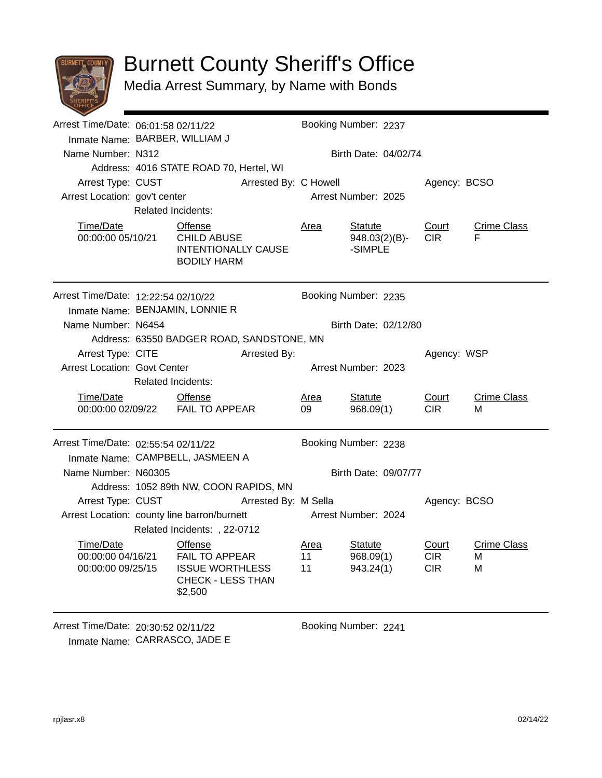

## Burnett County Sheriff's Office

Media Arrest Summary, by Name with Bonds

|                                                                         | Arrest Time/Date: 06:01:58 02/11/22 |                                                                                                          |                      | Booking Number: 2237 |                                            |                                   |                              |  |  |
|-------------------------------------------------------------------------|-------------------------------------|----------------------------------------------------------------------------------------------------------|----------------------|----------------------|--------------------------------------------|-----------------------------------|------------------------------|--|--|
| Inmate Name: BARBER, WILLIAM J                                          |                                     |                                                                                                          |                      |                      |                                            |                                   |                              |  |  |
| Name Number: N312                                                       |                                     |                                                                                                          |                      | Birth Date: 04/02/74 |                                            |                                   |                              |  |  |
|                                                                         |                                     | Address: 4016 STATE ROAD 70, Hertel, WI                                                                  |                      |                      |                                            |                                   |                              |  |  |
| Arrest Type: CUST<br>Arrested By: C Howell                              |                                     |                                                                                                          |                      |                      | Agency: BCSO                               |                                   |                              |  |  |
| Arrest Location: gov't center                                           | <b>Related Incidents:</b>           |                                                                                                          |                      |                      | Arrest Number: 2025                        |                                   |                              |  |  |
|                                                                         |                                     |                                                                                                          |                      |                      |                                            |                                   |                              |  |  |
| Time/Date<br>00:00:00 05/10/21                                          |                                     | Offense<br><b>CHILD ABUSE</b><br><b>INTENTIONALLY CAUSE</b><br><b>BODILY HARM</b>                        |                      | Area                 | <b>Statute</b><br>948.03(2)(B)-<br>-SIMPLE | Court<br>CIR.                     | <b>Crime Class</b><br>F      |  |  |
| Arrest Time/Date: 12:22:54 02/10/22                                     |                                     |                                                                                                          |                      |                      | Booking Number: 2235                       |                                   |                              |  |  |
|                                                                         | Inmate Name: BENJAMIN, LONNIE R     |                                                                                                          |                      |                      |                                            |                                   |                              |  |  |
| Name Number: N6454                                                      |                                     |                                                                                                          |                      |                      | Birth Date: 02/12/80                       |                                   |                              |  |  |
|                                                                         |                                     | Address: 63550 BADGER ROAD, SANDSTONE, MN                                                                |                      |                      |                                            |                                   |                              |  |  |
| Arrest Type: CITE                                                       |                                     |                                                                                                          | Arrested By:         | Agency: WSP          |                                            |                                   |                              |  |  |
| <b>Arrest Location: Govt Center</b>                                     |                                     |                                                                                                          |                      |                      | Arrest Number: 2023                        |                                   |                              |  |  |
|                                                                         | <b>Related Incidents:</b>           |                                                                                                          |                      |                      |                                            |                                   |                              |  |  |
| Time/Date                                                               |                                     | <b>Offense</b><br>00:00:00 02/09/22    FAIL TO APPEAR                                                    |                      | <u>Area</u><br>09    | <b>Statute</b><br>968.09(1)                | Court<br>CIR <sub></sub>          | <b>Crime Class</b><br>М      |  |  |
| Arrest Time/Date: 02:55:54 02/11/22<br>Inmate Name: CAMPBELL, JASMEEN A |                                     |                                                                                                          |                      |                      | Booking Number: 2238                       |                                   |                              |  |  |
| Name Number: N60305                                                     |                                     |                                                                                                          |                      | Birth Date: 09/07/77 |                                            |                                   |                              |  |  |
|                                                                         |                                     | Address: 1052 89th NW, COON RAPIDS, MN                                                                   |                      |                      |                                            |                                   |                              |  |  |
| Arrest Type: CUST                                                       |                                     | Arrested By: M Sella                                                                                     |                      |                      |                                            | Agency: BCSO                      |                              |  |  |
| Arrest Location: county line barron/burnett                             |                                     | Related Incidents: , 22-0712                                                                             |                      | Arrest Number: 2024  |                                            |                                   |                              |  |  |
| Time/Date<br>00:00:00 04/16/21<br>00:00:00 09/25/15                     |                                     | <b>Offense</b><br><b>FAIL TO APPEAR</b><br><b>ISSUE WORTHLESS</b><br><b>CHECK - LESS THAN</b><br>\$2,500 |                      | Area<br>11<br>11     | Statute<br>968.09(1)<br>943.24(1)          | Court<br><b>CIR</b><br><b>CIR</b> | <b>Crime Class</b><br>M<br>M |  |  |
| Arrest Time/Date: 20:30:52 02/11/22                                     |                                     |                                                                                                          | Booking Number: 2241 |                      |                                            |                                   |                              |  |  |

Inmate Name: CARRASCO, JADE E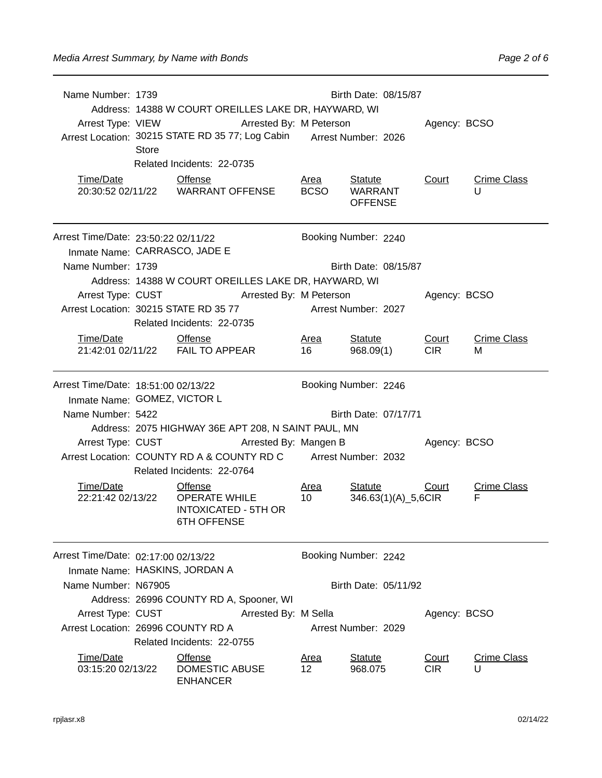| Name Number: 1739                                                                         | Birth Date: 08/15/87<br>Address: 14388 W COURT OREILLES LAKE DR, HAYWARD, WI<br>Arrest Type: VIEW<br>Arrested By: M Peterson<br>Arrest Location: 30215 STATE RD 35 77; Log Cabin Arrest Number: 2026<br>Store<br>Related Incidents: 22-0735 |                                                                                             |  |                            |                                                    |  |                     | Agency: BCSO            |  |  |
|-------------------------------------------------------------------------------------------|---------------------------------------------------------------------------------------------------------------------------------------------------------------------------------------------------------------------------------------------|---------------------------------------------------------------------------------------------|--|----------------------------|----------------------------------------------------|--|---------------------|-------------------------|--|--|
| Time/Date                                                                                 |                                                                                                                                                                                                                                             | <b>Offense</b>                                                                              |  | <u>Area</u><br><b>BCSO</b> | <b>Statute</b><br><b>WARRANT</b><br><b>OFFENSE</b> |  | Court               | <b>Crime Class</b><br>U |  |  |
| Arrest Time/Date: 23:50:22 02/11/22<br>Inmate Name: CARRASCO, JADE E<br>Name Number: 1739 |                                                                                                                                                                                                                                             |                                                                                             |  |                            | Booking Number: 2240<br>Birth Date: 08/15/87       |  |                     |                         |  |  |
|                                                                                           | Address: 14388 W COURT OREILLES LAKE DR, HAYWARD, WI<br>Arrest Type: CUST Arrested By: M Peterson<br>Arrest Location: 30215 STATE RD 35 77<br>Related Incidents: 22-0735                                                                    |                                                                                             |  |                            | Arrest Number: 2027                                |  |                     | Agency: BCSO            |  |  |
| Time/Date                                                                                 |                                                                                                                                                                                                                                             | <b>Offense</b><br>21:42:01 02/11/22 FAIL TO APPEAR                                          |  | Area<br>16                 | <b>Statute</b><br>968.09(1)                        |  | Court<br><b>CIR</b> | <b>Crime Class</b><br>м |  |  |
| Arrest Time/Date: 18:51:00 02/13/22<br>Inmate Name: GOMEZ, VICTOR L<br>Name Number: 5422  |                                                                                                                                                                                                                                             |                                                                                             |  |                            | Booking Number: 2246<br>Birth Date: 07/17/71       |  |                     |                         |  |  |
| Arrest Type: CUST                                                                         | Address: 2075 HIGHWAY 36E APT 208, N SAINT PAUL, MN<br>Arrested By: Mangen B<br>Arrest Location: COUNTY RD A & COUNTY RD C Arrest Number: 2032<br>Related Incidents: 22-0764                                                                |                                                                                             |  |                            |                                                    |  | Agency: BCSO        |                         |  |  |
| Time/Date<br>22:21:42 02/13/22                                                            |                                                                                                                                                                                                                                             | <b>Offense</b><br><b>OPERATE WHILE</b><br><b>INTOXICATED - 5TH OR</b><br><b>6TH OFFENSE</b> |  | Area<br>10                 | <b>Statute</b><br>346.63(1)(A)_5,6CIR              |  | Court               | <b>Crime Class</b><br>F |  |  |
| Arrest Time/Date: 02:17:00 02/13/22<br>Inmate Name: HASKINS, JORDAN A                     |                                                                                                                                                                                                                                             |                                                                                             |  |                            | Booking Number: 2242                               |  |                     |                         |  |  |
| Name Number: N67905                                                                       |                                                                                                                                                                                                                                             |                                                                                             |  |                            | Birth Date: 05/11/92                               |  |                     |                         |  |  |
| Arrest Type: CUST<br>Arrest Location: 26996 COUNTY RD A                                   |                                                                                                                                                                                                                                             | Address: 26996 COUNTY RD A, Spooner, WI<br>Related Incidents: 22-0755                       |  | Arrested By: M Sella       | Arrest Number: 2029                                |  | Agency: BCSO        |                         |  |  |
| Time/Date<br>03:15:20 02/13/22                                                            |                                                                                                                                                                                                                                             | <b>Offense</b><br><b>DOMESTIC ABUSE</b><br><b>ENHANCER</b>                                  |  | <u>Area</u><br>$12 \,$     | <b>Statute</b><br>968.075                          |  | Court<br><b>CIR</b> | <b>Crime Class</b><br>U |  |  |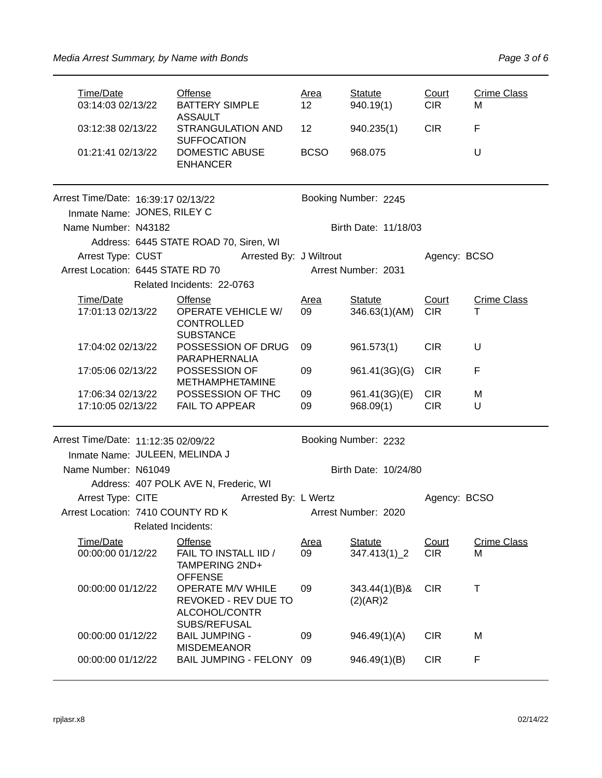| Time/Date<br>03:14:03 02/13/22                                        |                                                                                                          | Offense<br><b>BATTERY SIMPLE</b><br><b>ASSAULT</b>                                   | Area<br>12        | <b>Statute</b><br>940.19(1)     | Court<br>CIR <sub></sub> | <b>Crime Class</b><br>М |  |  |  |
|-----------------------------------------------------------------------|----------------------------------------------------------------------------------------------------------|--------------------------------------------------------------------------------------|-------------------|---------------------------------|--------------------------|-------------------------|--|--|--|
| 01:21:41 02/13/22                                                     | 03:12:38 02/13/22<br><b>STRANGULATION AND</b><br><b>SUFFOCATION</b><br>DOMESTIC ABUSE<br><b>ENHANCER</b> |                                                                                      | 12<br><b>BCSO</b> | 940.235(1)<br>968.075           | <b>CIR</b>               | F<br>U                  |  |  |  |
| Arrest Time/Date: 16:39:17 02/13/22                                   |                                                                                                          |                                                                                      |                   | Booking Number: 2245            |                          |                         |  |  |  |
| Inmate Name: JONES, RILEY C                                           |                                                                                                          |                                                                                      |                   |                                 |                          |                         |  |  |  |
| Name Number: N43182                                                   |                                                                                                          |                                                                                      |                   | Birth Date: 11/18/03            |                          |                         |  |  |  |
|                                                                       |                                                                                                          | Address: 6445 STATE ROAD 70, Siren, WI                                               |                   |                                 |                          |                         |  |  |  |
|                                                                       |                                                                                                          | Arrest Type: CUST Arrested By: J Wiltrout                                            |                   |                                 | Agency: BCSO             |                         |  |  |  |
| Arrest Location: 6445 STATE RD 70                                     |                                                                                                          |                                                                                      |                   | Arrest Number: 2031             |                          |                         |  |  |  |
|                                                                       |                                                                                                          | Related Incidents: 22-0763                                                           |                   |                                 |                          |                         |  |  |  |
| Time/Date<br>17:01:13 02/13/22                                        |                                                                                                          | <b>Offense</b><br><b>OPERATE VEHICLE W/</b><br><b>CONTROLLED</b><br><b>SUBSTANCE</b> | Area<br>09        | <b>Statute</b><br>346.63(1)(AM) | Court<br><b>CIR</b>      | <b>Crime Class</b><br>т |  |  |  |
| 17:04:02 02/13/22                                                     |                                                                                                          | POSSESSION OF DRUG<br>PARAPHERNALIA                                                  | 09                | 961.573(1)                      | <b>CIR</b>               | U                       |  |  |  |
| 17:05:06 02/13/22                                                     |                                                                                                          | POSSESSION OF<br><b>METHAMPHETAMINE</b>                                              | 09                | 961.41(3G)(G)                   | <b>CIR</b>               | F                       |  |  |  |
| 17:06:34 02/13/22                                                     |                                                                                                          | POSSESSION OF THC                                                                    | 09                | 961.41(3G)(E)                   | <b>CIR</b>               | M                       |  |  |  |
| 17:10:05 02/13/22                                                     |                                                                                                          | <b>FAIL TO APPEAR</b>                                                                | 09                | 968.09(1)                       | <b>CIR</b>               | U                       |  |  |  |
| Arrest Time/Date: 11:12:35 02/09/22<br>Inmate Name: JULEEN, MELINDA J |                                                                                                          |                                                                                      |                   | Booking Number: 2232            |                          |                         |  |  |  |
| Name Number: N61049                                                   |                                                                                                          |                                                                                      |                   | Birth Date: 10/24/80            |                          |                         |  |  |  |
|                                                                       |                                                                                                          | Address: 407 POLK AVE N, Frederic, WI                                                |                   |                                 |                          |                         |  |  |  |
| Arrest Type: CITE                                                     |                                                                                                          | Arrested By: L Wertz                                                                 |                   |                                 | Agency: BCSO             |                         |  |  |  |
| Arrest Location: 7410 COUNTY RD K                                     |                                                                                                          |                                                                                      |                   | Arrest Number: 2020             |                          |                         |  |  |  |
|                                                                       |                                                                                                          | <b>Related Incidents:</b>                                                            |                   |                                 |                          |                         |  |  |  |
| Time/Date<br>00:00:00 01/12/22                                        |                                                                                                          | Offense<br>FAIL TO INSTALL IID /<br>TAMPERING 2ND+<br><b>OFFENSE</b>                 | <b>Area</b><br>09 | <b>Statute</b><br>347.413(1)_2  | Court<br><b>CIR</b>      | <b>Crime Class</b><br>M |  |  |  |
| 00:00:00 01/12/22                                                     |                                                                                                          | OPERATE M/V WHILE<br>REVOKED - REV DUE TO<br>ALCOHOL/CONTR                           | 09                | $343.44(1)(B)$ &<br>(2)(AR)2    | <b>CIR</b>               | T                       |  |  |  |
| 00:00:00 01/12/22                                                     |                                                                                                          | SUBS/REFUSAL<br><b>BAIL JUMPING -</b><br><b>MISDEMEANOR</b>                          | 09                | 946.49(1)(A)                    | <b>CIR</b>               | M                       |  |  |  |
| 00:00:00 01/12/22                                                     |                                                                                                          | BAIL JUMPING - FELONY 09                                                             |                   | 946.49(1)(B)                    | <b>CIR</b>               | F                       |  |  |  |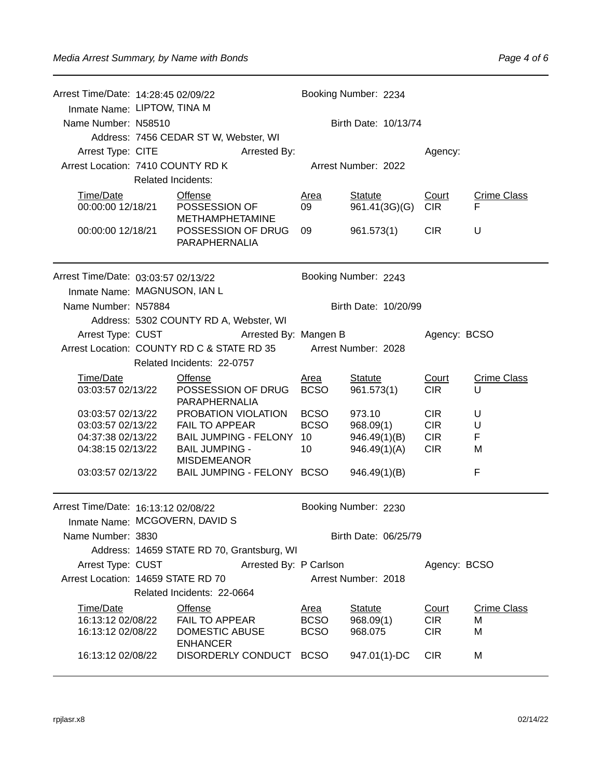| Arrest Time/Date: 14:28:45 02/09/22<br>Inmate Name: LIPTOW, TINA M<br>Name Number: N58510<br>Arrest Type: CITE |                                             | Address: 7456 CEDAR ST W, Webster, WI                         | Arrested By:               | Booking Number: 2234<br>Birth Date: 10/13/74 |                              |                          |                         |  |
|----------------------------------------------------------------------------------------------------------------|---------------------------------------------|---------------------------------------------------------------|----------------------------|----------------------------------------------|------------------------------|--------------------------|-------------------------|--|
|                                                                                                                | Arrest Location: 7410 COUNTY RD K           |                                                               |                            |                                              | Arrest Number: 2022          | Agency:                  |                         |  |
|                                                                                                                | <b>Related Incidents:</b>                   |                                                               |                            |                                              |                              |                          |                         |  |
| Time/Date                                                                                                      |                                             | <b>Offense</b>                                                |                            | <b>Area</b>                                  | <b>Statute</b>               | Court                    | <b>Crime Class</b>      |  |
| 00:00:00 12/18/21                                                                                              |                                             | POSSESSION OF                                                 |                            | 09                                           | 961.41(3G)(G)                | <b>CIR</b>               | F                       |  |
| 00:00:00 12/18/21                                                                                              |                                             | <b>METHAMPHETAMINE</b><br>POSSESSION OF DRUG<br>PARAPHERNALIA |                            | 09                                           | 961.573(1)                   | <b>CIR</b>               | U                       |  |
| Arrest Time/Date: 03:03:57 02/13/22                                                                            |                                             |                                                               |                            |                                              | Booking Number: 2243         |                          |                         |  |
| Inmate Name: MAGNUSON, IAN L                                                                                   |                                             |                                                               |                            |                                              |                              |                          |                         |  |
| Name Number: N57884                                                                                            |                                             |                                                               |                            |                                              | Birth Date: 10/20/99         |                          |                         |  |
|                                                                                                                |                                             | Address: 5302 COUNTY RD A, Webster, WI                        |                            |                                              |                              |                          |                         |  |
| Arrest Type: CUST                                                                                              |                                             |                                                               | Arrested By: Mangen B      |                                              |                              | Agency: BCSO             |                         |  |
| Arrest Location: COUNTY RD C & STATE RD 35                                                                     |                                             |                                                               |                            | Arrest Number: 2028                          |                              |                          |                         |  |
|                                                                                                                |                                             | Related Incidents: 22-0757                                    |                            |                                              |                              |                          |                         |  |
| Time/Date<br>03:03:57 02/13/22                                                                                 |                                             | <b>Offense</b><br>POSSESSION OF DRUG<br>PARAPHERNALIA         |                            | <u>Area</u><br><b>BCSO</b>                   | <b>Statute</b><br>961.573(1) | Court<br><b>CIR</b>      | <b>Crime Class</b><br>U |  |
| 03:03:57 02/13/22                                                                                              |                                             | PROBATION VIOLATION                                           |                            | <b>BCSO</b>                                  | 973.10                       | <b>CIR</b>               | U                       |  |
| 03:03:57 02/13/22                                                                                              |                                             | <b>FAIL TO APPEAR</b>                                         |                            | <b>BCSO</b>                                  | 968.09(1)                    | <b>CIR</b>               | U                       |  |
| 04:37:38 02/13/22                                                                                              |                                             |                                                               | BAIL JUMPING - FELONY 10   |                                              | 946.49(1)(B)                 | <b>CIR</b><br><b>CIR</b> | F                       |  |
| 04:38:15 02/13/22                                                                                              |                                             | <b>BAIL JUMPING -</b><br><b>MISDEMEANOR</b>                   |                            | 10                                           | 946.49(1)(A)                 |                          | M                       |  |
| 03:03:57 02/13/22                                                                                              |                                             |                                                               | BAIL JUMPING - FELONY BCSO |                                              | 946.49(1)(B)                 |                          | F                       |  |
| Arrest Time/Date: 16:13:12 02/08/22<br>Inmate Name: MCGOVERN, DAVID S                                          |                                             |                                                               |                            |                                              | Booking Number: 2230         |                          |                         |  |
| Name Number: 3830                                                                                              |                                             |                                                               |                            | Birth Date: 06/25/79                         |                              |                          |                         |  |
|                                                                                                                |                                             | Address: 14659 STATE RD 70, Grantsburg, WI                    |                            |                                              |                              |                          |                         |  |
|                                                                                                                | Arrested By: P Carlson<br>Arrest Type: CUST |                                                               |                            |                                              | Agency: BCSO                 |                          |                         |  |
| Arrest Location: 14659 STATE RD 70                                                                             |                                             |                                                               |                            |                                              | Arrest Number: 2018          |                          |                         |  |
|                                                                                                                |                                             | Related Incidents: 22-0664                                    |                            |                                              |                              |                          |                         |  |
| Time/Date<br>16:13:12 02/08/22                                                                                 |                                             | <b>Offense</b><br><b>FAIL TO APPEAR</b>                       |                            | <u>Area</u>                                  | <b>Statute</b>               | Court                    | <b>Crime Class</b>      |  |
| 16:13:12 02/08/22                                                                                              |                                             | <b>DOMESTIC ABUSE</b>                                         |                            | <b>BCSO</b><br><b>BCSO</b>                   | 968.09(1)<br>968.075         | <b>CIR</b><br><b>CIR</b> | м<br>M                  |  |
|                                                                                                                |                                             | <b>ENHANCER</b>                                               |                            |                                              |                              |                          |                         |  |
| 16:13:12 02/08/22                                                                                              |                                             | DISORDERLY CONDUCT BCSO                                       |                            |                                              | 947.01(1)-DC                 | <b>CIR</b>               | M                       |  |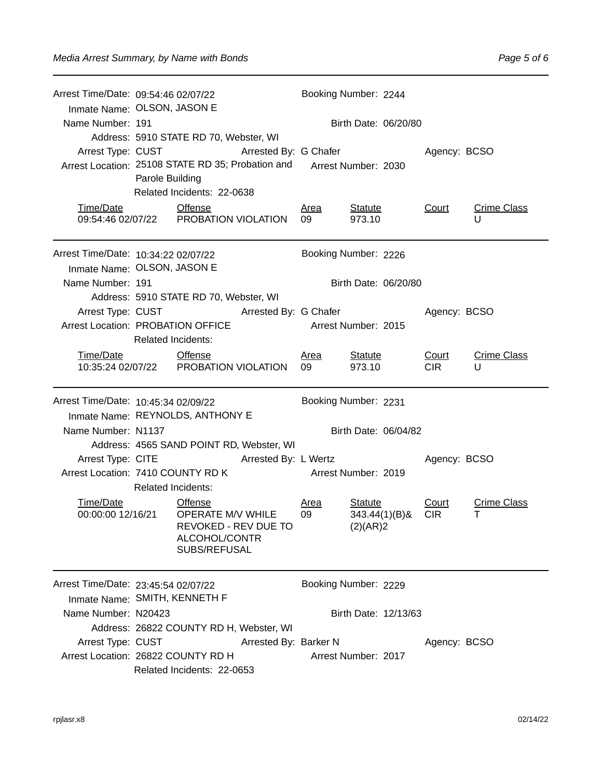| Arrest Time/Date: 09:54:46 02/07/22<br>Inmate Name: OLSON, JASON E |                                        |                                                                                                                                                 |                            | Booking Number: 2244 |                                                |                      |                     |                         |
|--------------------------------------------------------------------|----------------------------------------|-------------------------------------------------------------------------------------------------------------------------------------------------|----------------------------|----------------------|------------------------------------------------|----------------------|---------------------|-------------------------|
| Name Number: 191                                                   | Address: 5910 STATE RD 70, Webster, WI |                                                                                                                                                 |                            | Birth Date: 06/20/80 |                                                |                      |                     |                         |
| Arrest Type: CUST                                                  |                                        | Arrested By: G Chafer<br>Arrest Location: 25108 STATE RD 35; Probation and Arrest Number: 2030<br>Parole Building<br>Related Incidents: 22-0638 |                            | Agency: BCSO         |                                                |                      |                     |                         |
| Time/Date                                                          |                                        | <b>Offense</b><br>09:54:46 02/07/22 PROBATION VIOLATION                                                                                         |                            | <u>Area</u><br>09    | <b>Statute</b><br>973.10                       |                      | Court               | <b>Crime Class</b><br>U |
| Arrest Time/Date: 10:34:22 02/07/22<br>Inmate Name: OLSON, JASON E |                                        |                                                                                                                                                 |                            | Booking Number: 2226 |                                                |                      |                     |                         |
| Name Number: 191                                                   |                                        |                                                                                                                                                 |                            |                      |                                                | Birth Date: 06/20/80 |                     |                         |
| Arrest Location: PROBATION OFFICE                                  | <b>Related Incidents:</b>              | Address: 5910 STATE RD 70, Webster, WI<br>Arrest Type: CUST Arrested By: G Chafer                                                               | <b>Arrest Number: 2015</b> |                      |                                                |                      | Agency: BCSO        |                         |
| Time/Date                                                          |                                        | <b>Offense</b><br>10:35:24 02/07/22  PROBATION VIOLATION                                                                                        |                            | <u>Area</u><br>09    | <b>Statute</b><br>973.10                       |                      | Court<br><b>CIR</b> | <b>Crime Class</b><br>U |
|                                                                    |                                        |                                                                                                                                                 |                            |                      |                                                |                      |                     |                         |
| Arrest Time/Date: 10:45:34 02/09/22                                |                                        |                                                                                                                                                 |                            | Booking Number: 2231 |                                                |                      |                     |                         |
| Inmate Name: REYNOLDS, ANTHONY E<br>Name Number: N1137             |                                        |                                                                                                                                                 |                            |                      |                                                | Birth Date: 06/04/82 |                     |                         |
|                                                                    |                                        | Address: 4565 SAND POINT RD, Webster, WI                                                                                                        |                            |                      |                                                |                      |                     |                         |
| Arrest Location: 7410 COUNTY RD K                                  | <b>Related Incidents:</b>              | Arrest Type: CITE                                                                                                                               | Arrested By: L Wertz       | Arrest Number: 2019  |                                                |                      | Agency: BCSO        |                         |
| Time/Date<br>00:00:00 12/16/21                                     |                                        | <b>Offense</b><br>OPERATE M/V WHILE<br>REVOKED - REV DUE TO<br>ALCOHOL/CONTR<br>SUBS/REFUSAL                                                    |                            | Area<br>09           | <b>Statute</b><br>$343.44(1)(B)$ &<br>(2)(AR)2 |                      | Court<br><b>CIR</b> | <b>Crime Class</b><br>т |
| Inmate Name: SMITH, KENNETH F                                      |                                        |                                                                                                                                                 |                            | Booking Number: 2229 |                                                |                      |                     |                         |
| Arrest Time/Date: 23:45:54 02/07/22<br>Name Number: N20423         |                                        | Address: 26822 COUNTY RD H, Webster, WI                                                                                                         |                            |                      |                                                | Birth Date: 12/13/63 |                     |                         |